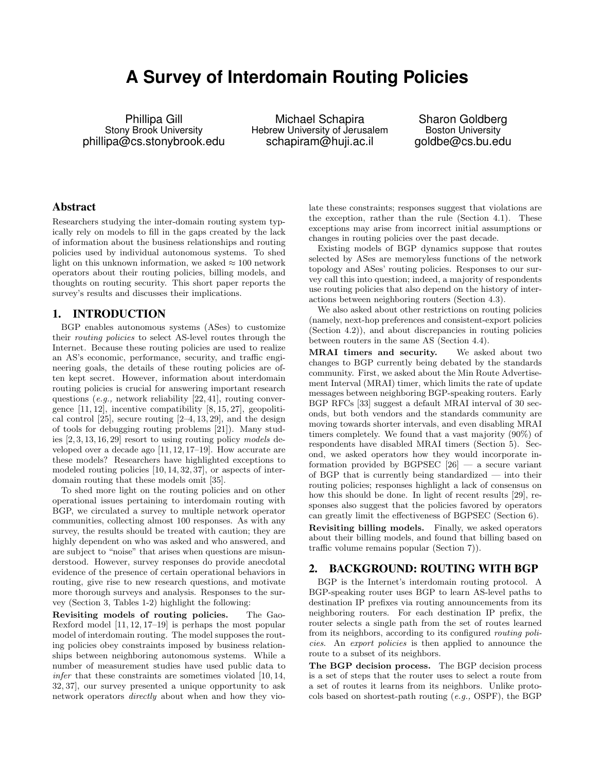# **A Survey of Interdomain Routing Policies**

Phillipa Gill Stony Brook University phillipa@cs.stonybrook.edu

Michael Schapira Hebrew University of Jerusalem schapiram@huji.ac.il

Sharon Goldberg Boston University goldbe@cs.bu.edu

## Abstract

Researchers studying the inter-domain routing system typically rely on models to fill in the gaps created by the lack of information about the business relationships and routing policies used by individual autonomous systems. To shed light on this unknown information, we asked  $\approx 100$  network operators about their routing policies, billing models, and thoughts on routing security. This short paper reports the survey's results and discusses their implications.

#### 1. INTRODUCTION

BGP enables autonomous systems (ASes) to customize their routing policies to select AS-level routes through the Internet. Because these routing policies are used to realize an AS's economic, performance, security, and traffic engineering goals, the details of these routing policies are often kept secret. However, information about interdomain routing policies is crucial for answering important research questions (e.g., network reliability [22, 41], routing convergence  $[11, 12]$ , incentive compatibility  $[8, 15, 27]$ , geopolitical control  $[25]$ , secure routing  $[2-4, 13, 29]$ , and the design of tools for debugging routing problems [21]). Many studies [2, 3, 13, 16, 29] resort to using routing policy models developed over a decade ago [11, 12, 17–19]. How accurate are these models? Researchers have highlighted exceptions to modeled routing policies [10, 14, 32, 37], or aspects of interdomain routing that these models omit [35].

To shed more light on the routing policies and on other operational issues pertaining to interdomain routing with BGP, we circulated a survey to multiple network operator communities, collecting almost 100 responses. As with any survey, the results should be treated with caution; they are highly dependent on who was asked and who answered, and are subject to "noise" that arises when questions are misunderstood. However, survey responses do provide anecdotal evidence of the presence of certain operational behaviors in routing, give rise to new research questions, and motivate more thorough surveys and analysis. Responses to the survey (Section 3, Tables 1-2) highlight the following:

Revisiting models of routing policies. The Gao-Rexford model [11, 12, 17–19] is perhaps the most popular model of interdomain routing. The model supposes the routing policies obey constraints imposed by business relationships between neighboring autonomous systems. While a number of measurement studies have used public data to infer that these constraints are sometimes violated [10, 14, 32, 37], our survey presented a unique opportunity to ask network operators directly about when and how they violate these constraints; responses suggest that violations are the exception, rather than the rule (Section 4.1). These exceptions may arise from incorrect initial assumptions or changes in routing policies over the past decade.

Existing models of BGP dynamics suppose that routes selected by ASes are memoryless functions of the network topology and ASes' routing policies. Responses to our survey call this into question; indeed, a majority of respondents use routing policies that also depend on the history of interactions between neighboring routers (Section 4.3).

We also asked about other restrictions on routing policies (namely, next-hop preferences and consistent-export policies (Section 4.2)), and about discrepancies in routing policies between routers in the same AS (Section 4.4).

MRAI timers and security. We asked about two changes to BGP currently being debated by the standards community. First, we asked about the Min Route Advertisement Interval (MRAI) timer, which limits the rate of update messages between neighboring BGP-speaking routers. Early BGP RFCs [33] suggest a default MRAI interval of 30 seconds, but both vendors and the standards community are moving towards shorter intervals, and even disabling MRAI timers completely. We found that a vast majority (90%) of respondents have disabled MRAI timers (Section 5). Second, we asked operators how they would incorporate information provided by BGPSEC  $[26]$  — a secure variant of BGP that is currently being standardized — into their routing policies; responses highlight a lack of consensus on how this should be done. In light of recent results [29], responses also suggest that the policies favored by operators can greatly limit the effectiveness of BGPSEC (Section 6).

Revisiting billing models. Finally, we asked operators about their billing models, and found that billing based on traffic volume remains popular (Section 7)).

### 2. BACKGROUND: ROUTING WITH BGP

BGP is the Internet's interdomain routing protocol. A BGP-speaking router uses BGP to learn AS-level paths to destination IP prefixes via routing announcements from its neighboring routers. For each destination IP prefix, the router selects a single path from the set of routes learned from its neighbors, according to its configured routing policies. An export policies is then applied to announce the route to a subset of its neighbors.

The BGP decision process. The BGP decision process is a set of steps that the router uses to select a route from a set of routes it learns from its neighbors. Unlike protocols based on shortest-path routing (e.g., OSPF), the BGP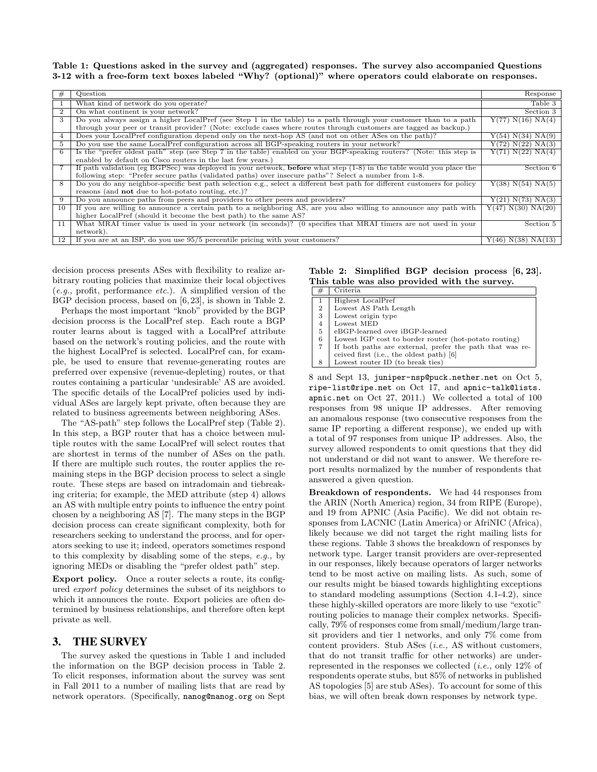Table 1: Questions asked in the survey and (aggregated) responses. The survey also accompanied Questions 3-12 with a free-form text boxes labeled "Why? (optional)" where operators could elaborate on responses.

|    | Question                                                                                                                      | Response                        |
|----|-------------------------------------------------------------------------------------------------------------------------------|---------------------------------|
|    | What kind of network do you operate?                                                                                          | Table 3                         |
|    | On what continent is your network?                                                                                            | Section 3                       |
|    | Do you always assign a higher LocalPref (see Step 1 in the table) to a path through your customer than to a path              | Y(77) N(16) NA(4)               |
|    | through your peer or transit provider? (Note: exclude cases where routes through customers are tagged as backup.)             |                                 |
| 4  | Does your LocalPref configuration depend only on the next-hop AS (and not on other ASes on the path)?                         | Y(54) N(34) N(A(9)              |
| 5  | Do you use the same LocalPref configuration across all BGP-speaking routers in your network?                                  | Y(72) N(22) N(A(3)              |
| 6  | Is the "prefer oldest path" step (see Step 7 in the table) enabled on your BGP-speaking routers? (Note: this step is          | Y(71) N(22) NA(4)               |
|    | enabled by default on Cisco routers in the last few years.)                                                                   |                                 |
|    | If path validation (eg BGPSec) was deployed in your network, <b>before</b> what step $(1-8)$ in the table would you place the | Section 6                       |
|    | following step: "Prefer secure paths (validated paths) over insecure paths"? Select a number from 1-8.                        |                                 |
| 8  | Do you do any neighbor-specific best path selection e.g., select a different best path for different customers for policy     | Y(38) N(54) N(A(5))             |
|    | reasons (and <b>not</b> due to hot-potato routing, etc.)?                                                                     |                                 |
| 9  | Do you announce paths from peers and providers to other peers and providers?                                                  | Y(21) N(73) N(A(3)              |
| 10 | If you are willing to announce a certain path to a neighboring AS, are you also willing to announce any path with             | Y(47) N(30) N <sub>A</sub> (20) |
|    | higher LocalPref (should it become the best path) to the same AS?                                                             |                                 |
| 11 | What MRAI timer value is used in your network (in seconds)? (0 specifies that MRAI timers are not used in your                | Section 5                       |
|    | network).                                                                                                                     |                                 |
| 12 | If you are at an ISP, do you use 95/5 percentile pricing with your customers?                                                 | Y(46) N(38) N <sub>A</sub> (13) |

decision process presents ASes with flexibility to realize arbitrary routing policies that maximize their local objectives  $(e.g., \text{ profit}, \text{performance} \text{ etc.}).$  A simplified version of the BGP decision process, based on [6, 23], is shown in Table 2.

Perhaps the most important "knob" provided by the BGP decision process is the LocalPref step. Each route a BGP router learns about is tagged with a LocalPref attribute based on the network's routing policies, and the route with the highest LocalPref is selected. LocalPref can, for example, be used to ensure that revenue-generating routes are preferred over expensive (revenue-depleting) routes, or that routes containing a particular 'undesirable' AS are avoided. The specific details of the LocalPref policies used by individual ASes are largely kept private, often because they are related to business agreements between neighboring ASes.

The "AS-path" step follows the LocalPref step (Table 2). In this step, a BGP router that has a choice between multiple routes with the same LocalPref will select routes that are shortest in terms of the number of ASes on the path. If there are multiple such routes, the router applies the remaining steps in the BGP decision process to select a single route. These steps are based on intradomain and tiebreaking criteria; for example, the MED attribute (step 4) allows an AS with multiple entry points to influence the entry point chosen by a neighboring AS [7]. The many steps in the BGP decision process can create significant complexity, both for researchers seeking to understand the process, and for operators seeking to use it; indeed, operators sometimes respond to this complexity by disabling some of the steps, e.g., by ignoring MEDs or disabling the "prefer oldest path" step.

Export policy. Once a router selects a route, its configured export policy determines the subset of its neighbors to which it announces the route. Export policies are often determined by business relationships, and therefore often kept private as well.

#### 3. THE SURVEY

The survey asked the questions in Table 1 and included the information on the BGP decision process in Table 2. To elicit responses, information about the survey was sent in Fall 2011 to a number of mailing lists that are read by network operators. (Specifically, nanog@nanog.org on Sept

#### Table 2: Simplified BGP decision process [6, 23]. This table was also provided with the survey.

| #              | Criteria                                                 |
|----------------|----------------------------------------------------------|
| $\overline{1}$ | Highest LocalPref                                        |
| $\overline{2}$ | Lowest AS Path Length                                    |
| 3              | Lowest origin type                                       |
| 4              | Lowest MED                                               |
| 5              | eBGP-learned over iBGP-learned                           |
| 6              | Lowest IGP cost to border router (hot-potato routing)    |
|                | If both paths are external, prefer the path that was re- |
|                | ceived first (i.e., the oldest path) [6]                 |
| 8              | Lowest router ID (to break ties)                         |

8 and Sept 13, juniper-nsp@puck.nether.net on Oct 5, ripe-list@ripe.net on Oct 17, and apnic-talk@lists. apnic.net on Oct 27, 2011.) We collected a total of 100 responses from 98 unique IP addresses. After removing an anomalous response (two consecutive responses from the same IP reporting a different response), we ended up with a total of 97 responses from unique IP addresses. Also, the survey allowed respondents to omit questions that they did not understand or did not want to answer. We therefore report results normalized by the number of respondents that answered a given question.

Breakdown of respondents. We had 44 responses from the ARIN (North America) region, 34 from RIPE (Europe), and 19 from APNIC (Asia Pacific). We did not obtain responses from LACNIC (Latin America) or AfriNIC (Africa), likely because we did not target the right mailing lists for these regions. Table 3 shows the breakdown of responses by network type. Larger transit providers are over-represented in our responses, likely because operators of larger networks tend to be most active on mailing lists. As such, some of our results might be biased towards highlighting exceptions to standard modeling assumptions (Section 4.1-4.2), since these highly-skilled operators are more likely to use "exotic" routing policies to manage their complex networks. Specifically, 79% of responses come from small/medium/large transit providers and tier 1 networks, and only 7% come from content providers. Stub ASes (i.e., AS without customers, that do not transit traffic for other networks) are underrepresented in the responses we collected  $(i.e., \text{ only } 12\% \text{ of }$ respondents operate stubs, but 85% of networks in published AS topologies [5] are stub ASes). To account for some of this bias, we will often break down responses by network type.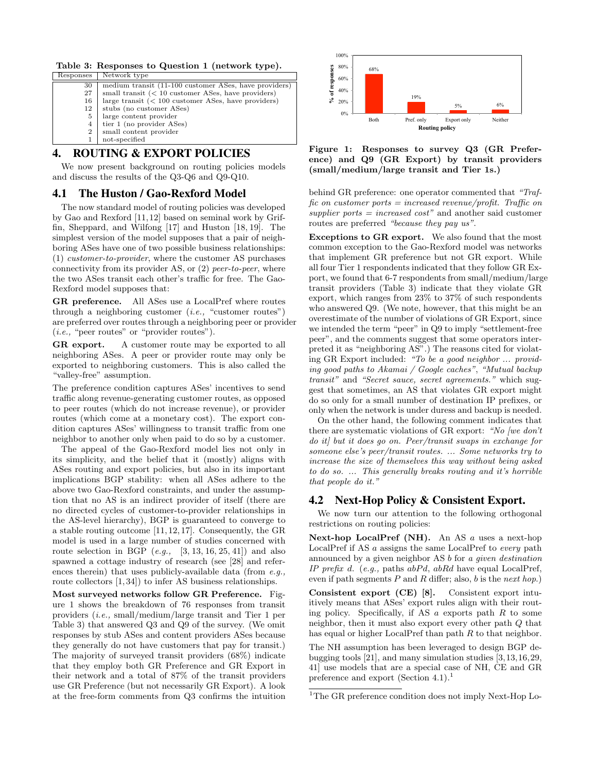Table 3: Responses to Question 1 (network type).

| 30<br>small transit $(< 10$ customer ASes, have providers)<br>27<br>large transit $(< 100$ customer ASes, have providers)<br>16<br>stubs (no customer ASes)<br>12<br>large content provider<br>5<br>tier 1 (no provider ASes)<br>4<br>small content provider<br>$\overline{2}$ | Responses | Network type                                          |
|--------------------------------------------------------------------------------------------------------------------------------------------------------------------------------------------------------------------------------------------------------------------------------|-----------|-------------------------------------------------------|
|                                                                                                                                                                                                                                                                                |           | medium transit (11-100 customer ASes, have providers) |
|                                                                                                                                                                                                                                                                                |           |                                                       |
|                                                                                                                                                                                                                                                                                |           |                                                       |
|                                                                                                                                                                                                                                                                                |           |                                                       |
|                                                                                                                                                                                                                                                                                |           |                                                       |
|                                                                                                                                                                                                                                                                                |           |                                                       |
|                                                                                                                                                                                                                                                                                |           |                                                       |
| not-specified                                                                                                                                                                                                                                                                  |           |                                                       |

# 4. ROUTING & EXPORT POLICIES

We now present background on routing policies models and discuss the results of the Q3-Q6 and Q9-Q10.

# 4.1 The Huston / Gao-Rexford Model

The now standard model of routing policies was developed by Gao and Rexford [11, 12] based on seminal work by Griffin, Sheppard, and Wilfong [17] and Huston [18, 19]. The simplest version of the model supposes that a pair of neighboring ASes have one of two possible business relationships: (1) customer-to-provider, where the customer AS purchases connectivity from its provider AS, or (2) peer-to-peer, where the two ASes transit each other's traffic for free. The Gao-Rexford model supposes that:

GR preference. All ASes use a LocalPref where routes through a neighboring customer  $(i.e., "customer routes")$ are preferred over routes through a neighboring peer or provider (i.e., "peer routes" or "provider routes").

GR export. A customer route may be exported to all neighboring ASes. A peer or provider route may only be exported to neighboring customers. This is also called the "valley-free" assumption.

The preference condition captures ASes' incentives to send traffic along revenue-generating customer routes, as opposed to peer routes (which do not increase revenue), or provider routes (which come at a monetary cost). The export condition captures ASes' willingness to transit traffic from one neighbor to another only when paid to do so by a customer.

The appeal of the Gao-Rexford model lies not only in its simplicity, and the belief that it (mostly) aligns with ASes routing and export policies, but also in its important implications BGP stability: when all ASes adhere to the above two Gao-Rexford constraints, and under the assumption that no AS is an indirect provider of itself (there are no directed cycles of customer-to-provider relationships in the AS-level hierarchy), BGP is guaranteed to converge to a stable routing outcome [11, 12, 17]. Consequently, the GR model is used in a large number of studies concerned with route selection in BGP  $(e.g., [3, 13, 16, 25, 41])$  and also spawned a cottage industry of research (see [28] and references therein) that uses publicly-available data (from  $e.g.,$ route collectors [1, 34]) to infer AS business relationships.

Most surveyed networks follow GR Preference. Figure 1 shows the breakdown of 76 responses from transit providers (i.e., small/medium/large transit and Tier 1 per Table 3) that answered Q3 and Q9 of the survey. (We omit responses by stub ASes and content providers ASes because they generally do not have customers that pay for transit.) The majority of surveyed transit providers (68%) indicate that they employ both GR Preference and GR Export in their network and a total of 87% of the transit providers use GR Preference (but not necessarily GR Export). A look at the free-form comments from Q3 confirms the intuition



Figure 1: Responses to survey Q3 (GR Preference) and Q9 (GR Export) by transit providers (small/medium/large transit and Tier 1s.)

behind GR preference: one operator commented that "Traffic on customer ports  $=$  increased revenue/profit. Traffic on supplier ports  $=$  increased cost" and another said customer routes are preferred "because they pay us".

Exceptions to GR export. We also found that the most common exception to the Gao-Rexford model was networks that implement GR preference but not GR export. While all four Tier 1 respondents indicated that they follow GR Export, we found that 6-7 respondents from small/medium/large transit providers (Table 3) indicate that they violate GR export, which ranges from 23% to 37% of such respondents who answered Q9. (We note, however, that this might be an overestimate of the number of violations of GR Export, since we intended the term "peer" in Q9 to imply "settlement-free peer", and the comments suggest that some operators interpreted it as "neighboring AS".) The reasons cited for violating GR Export included: "To be a good neighbor ... providing good paths to Akamai / Google caches", "Mutual backup transit" and "Secret sauce, secret agreements." which suggest that sometimes, an AS that violates GR export might do so only for a small number of destination IP prefixes, or only when the network is under duress and backup is needed.

On the other hand, the following comment indicates that there are systematic violations of GR export: "No [we don't do it] but it does go on. Peer/transit swaps in exchange for someone else's peer/transit routes. ... Some networks try to increase the size of themselves this way without being asked to do so. ... This generally breaks routing and it's horrible that people do it."

#### 4.2 Next-Hop Policy & Consistent Export.

We now turn our attention to the following orthogonal restrictions on routing policies:

Next-hop LocalPref (NH). An AS a uses a next-hop LocalPref if AS a assigns the same LocalPref to every path announced by a given neighbor AS b for a given destination IP prefix d. (e.g., paths  $abPd$ ,  $abRd$  have equal LocalPref, even if path segments  $P$  and  $R$  differ; also,  $b$  is the next hop.)

Consistent export (CE) [8]. Consistent export intuitively means that ASes' export rules align with their routing policy. Specifically, if AS  $\alpha$  exports path  $R$  to some neighbor, then it must also export every other path Q that has equal or higher LocalPref than path  $R$  to that neighbor.

The NH assumption has been leveraged to design BGP debugging tools [21], and many simulation studies [3,13,16,29, 41] use models that are a special case of NH, CE and GR preference and export (Section 4.1).<sup>1</sup>

<sup>&</sup>lt;sup>1</sup>The GR preference condition does not imply Next-Hop Lo-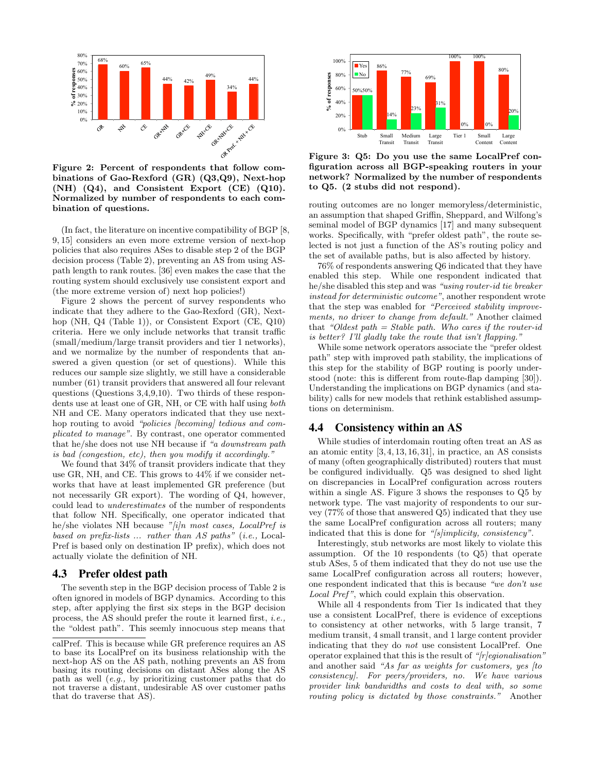

Figure 2: Percent of respondents that follow combinations of Gao-Rexford (GR) (Q3,Q9), Next-hop (NH) (Q4), and Consistent Export (CE) (Q10). Normalized by number of respondents to each combination of questions.

(In fact, the literature on incentive compatibility of BGP [8, 9, 15] considers an even more extreme version of next-hop policies that also requires ASes to disable step 2 of the BGP decision process (Table 2), preventing an AS from using ASpath length to rank routes. [36] even makes the case that the routing system should exclusively use consistent export and (the more extreme version of) next hop policies!)

Figure 2 shows the percent of survey respondents who indicate that they adhere to the Gao-Rexford (GR), Nexthop (NH, Q4 (Table 1)), or Consistent Export (CE, Q10) criteria. Here we only include networks that transit traffic (small/medium/large transit providers and tier 1 networks), and we normalize by the number of respondents that answered a given question (or set of questions). While this reduces our sample size slightly, we still have a considerable number (61) transit providers that answered all four relevant questions (Questions 3,4,9,10). Two thirds of these respondents use at least one of GR, NH, or CE with half using both NH and CE. Many operators indicated that they use nexthop routing to avoid "policies [becoming] tedious and complicated to manage". By contrast, one operator commented that he/she does not use NH because if "a downstream path is bad (congestion, etc), then you modify it accordingly."

We found that 34% of transit providers indicate that they use GR, NH, and CE. This grows to 44% if we consider networks that have at least implemented GR preference (but not necessarily GR export). The wording of Q4, however, could lead to underestimates of the number of respondents that follow NH. Specifically, one operator indicated that he/she violates NH because "[i]n most cases, LocalPref is based on prefix-lists ... rather than AS paths" (i.e., Local-Pref is based only on destination IP prefix), which does not actually violate the definition of NH.

#### 4.3 Prefer oldest path

The seventh step in the BGP decision process of Table 2 is often ignored in models of BGP dynamics. According to this step, after applying the first six steps in the BGP decision process, the AS should prefer the route it learned first, i.e., the "oldest path". This seemly innocuous step means that



**Network type**  Figure 3: Q5: Do you use the same LocalPref configuration across all BGP-speaking routers in your network? Normalized by the number of respondents to Q5. (2 stubs did not respond).

routing outcomes are no longer memoryless/deterministic, an assumption that shaped Griffin, Sheppard, and Wilfong's seminal model of BGP dynamics [17] and many subsequent works. Specifically, with "prefer oldest path", the route selected is not just a function of the AS's routing policy and the set of available paths, but is also affected by history.

76% of respondents answering Q6 indicated that they have enabled this step. While one respondent indicated that he/she disabled this step and was "using router-id tie breaker instead for deterministic outcome", another respondent wrote that the step was enabled for "Perceived stability improvements, no driver to change from default." Another claimed that "Oldest path = Stable path. Who cares if the router-id is better? I'll gladly take the route that isn't flapping."

While some network operators associate the "prefer oldest path" step with improved path stability, the implications of this step for the stability of BGP routing is poorly understood (note: this is different from route-flap damping [30]). Understanding the implications on BGP dynamics (and stability) calls for new models that rethink established assumptions on determinism.

## 4.4 Consistency within an AS

While studies of interdomain routing often treat an AS as an atomic entity [3, 4, 13, 16, 31], in practice, an AS consists of many (often geographically distributed) routers that must be configured individually. Q5 was designed to shed light on discrepancies in LocalPref configuration across routers within a single AS. Figure 3 shows the responses to Q5 by network type. The vast majority of respondents to our survey (77% of those that answered Q5) indicated that they use the same LocalPref configuration across all routers; many indicated that this is done for "[s]implicity, consistency".

Interestingly, stub networks are most likely to violate this assumption. Of the 10 respondents (to Q5) that operate stub ASes, 5 of them indicated that they do not use use the same LocalPref configuration across all routers; however, one respondent indicated that this is because "we don't use Local Pref", which could explain this observation.

While all 4 respondents from Tier 1s indicated that they use a consistent LocalPref, there is evidence of exceptions to consistency at other networks, with 5 large transit, 7 medium transit, 4 small transit, and 1 large content provider indicating that they do not use consistent LocalPref. One operator explained that this is the result of " $[r]egionalisation$ " and another said "As far as weights for customers, yes [to consistency]. For peers/providers, no. We have various provider link bandwidths and costs to deal with, so some routing policy is dictated by those constraints." Another

calPref. This is because while GR preference requires an AS to base its LocalPref on its business relationship with the next-hop AS on the AS path, nothing prevents an AS from basing its routing decisions on distant ASes along the AS path as well (e.g., by prioritizing customer paths that do not traverse a distant, undesirable AS over customer paths that do traverse that AS).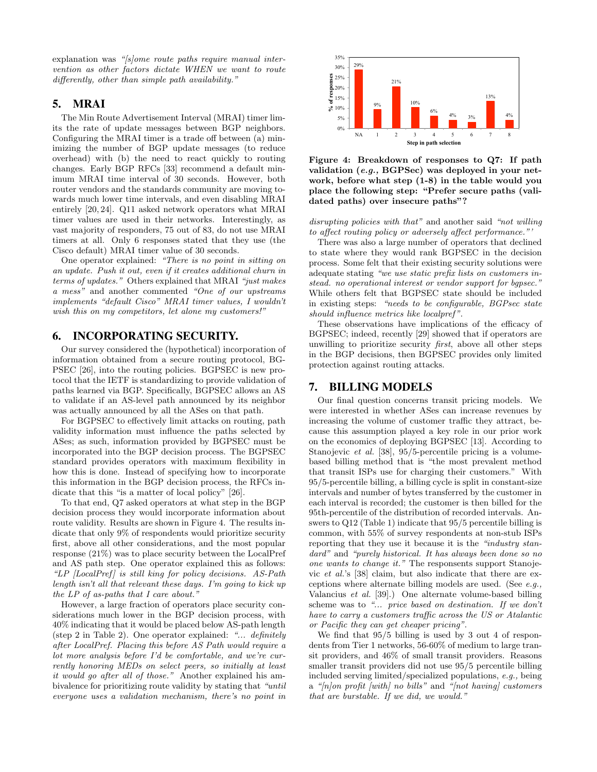explanation was "[s]ome route paths require manual intervention as other factors dictate WHEN we want to route differently, other than simple path availability."

# 5. MRAI

The Min Route Advertisement Interval (MRAI) timer limits the rate of update messages between BGP neighbors. Configuring the MRAI timer is a trade off between (a) minimizing the number of BGP update messages (to reduce overhead) with (b) the need to react quickly to routing changes. Early BGP RFCs [33] recommend a default minimum MRAI time interval of 30 seconds. However, both router vendors and the standards community are moving towards much lower time intervals, and even disabling MRAI entirely [20, 24]. Q11 asked network operators what MRAI timer values are used in their networks. Interestingly, as vast majority of responders, 75 out of 83, do not use MRAI timers at all. Only 6 responses stated that they use (the Cisco default) MRAI timer value of 30 seconds.

One operator explained: "There is no point in sitting on an update. Push it out, even if it creates additional churn in terms of updates." Others explained that MRAI "just makes a mess" and another commented "One of our upstreams implements "default Cisco" MRAI timer values, I wouldn't wish this on my competitors, let alone my customers!"

#### 6. INCORPORATING SECURITY.

Our survey considered the (hypothetical) incorporation of information obtained from a secure routing protocol, BG-PSEC [26], into the routing policies. BGPSEC is new protocol that the IETF is standardizing to provide validation of paths learned via BGP. Specifically, BGPSEC allows an AS to validate if an AS-level path announced by its neighbor was actually announced by all the ASes on that path.

For BGPSEC to effectively limit attacks on routing, path validity information must influence the paths selected by ASes; as such, information provided by BGPSEC must be incorporated into the BGP decision process. The BGPSEC standard provides operators with maximum flexibility in how this is done. Instead of specifying how to incorporate this information in the BGP decision process, the RFCs indicate that this "is a matter of local policy" [26].

To that end, Q7 asked operators at what step in the BGP decision process they would incorporate information about route validity. Results are shown in Figure 4. The results indicate that only 9% of respondents would prioritize security first, above all other considerations, and the most popular response (21%) was to place security between the LocalPref and AS path step. One operator explained this as follows: "LP  $[LocalPref]$  is still king for policy decisions. AS-Path length isn't all that relevant these days. I'm going to kick up the LP of as-paths that I care about."

However, a large fraction of operators place security considerations much lower in the BGP decision process, with 40% indicating that it would be placed below AS-path length (step 2 in Table 2). One operator explained: "... definitely after LocalPref. Placing this before AS Path would require a lot more analysis before I'd be comfortable, and we're currently honoring MEDs on select peers, so initially at least it would go after all of those." Another explained his ambivalence for prioritizing route validity by stating that "until everyone uses a validation mechanism, there's no point in



Figure 4: Breakdown of responses to Q7: If path validation (e.g., BGPSec) was deployed in your network, before what step (1-8) in the table would you place the following step: "Prefer secure paths (validated paths) over insecure paths"?

disrupting policies with that" and another said "not willing" to affect routing policy or adversely affect performance."'

There was also a large number of operators that declined to state where they would rank BGPSEC in the decision process. Some felt that their existing security solutions were adequate stating "we use static prefix lists on customers instead. no operational interest or vendor support for bapsec." While others felt that BGPSEC state should be included in existing steps: "needs to be configurable, BGPsec state should influence metrics like localpref".

These observations have implications of the efficacy of BGPSEC; indeed, recently [29] showed that if operators are unwilling to prioritize security first, above all other steps in the BGP decisions, then BGPSEC provides only limited protection against routing attacks.

#### 7. BILLING MODELS

Our final question concerns transit pricing models. We were interested in whether ASes can increase revenues by increasing the volume of customer traffic they attract, because this assumption played a key role in our prior work on the economics of deploying BGPSEC [13]. According to Stanojevic et al. [38], 95/5-percentile pricing is a volumebased billing method that is "the most prevalent method that transit ISPs use for charging their customers." With 95/5-percentile billing, a billing cycle is split in constant-size intervals and number of bytes transferred by the customer in each interval is recorded; the customer is then billed for the 95th-percentile of the distribution of recorded intervals. Answers to Q12 (Table 1) indicate that 95/5 percentile billing is common, with 55% of survey respondents at non-stub ISPs reporting that they use it because it is the "industry standard" and "purely historical. It has always been done so no one wants to change it." The responsents support Stanojevic et al.'s [38] claim, but also indicate that there are exceptions where alternate billing models are used. (See e.g., Valancius et al. [39].) One alternate volume-based billing scheme was to "... price based on destination. If we don't have to carry a customers traffic across the US or Atalantic or Pacific they can get cheaper pricing".

We find that 95/5 billing is used by 3 out 4 of respondents from Tier 1 networks, 56-60% of medium to large transit providers, and 46% of small transit providers. Reasons smaller transit providers did not use 95/5 percentile billing included serving limited/specialized populations, e.g., being a " $[n]$ on profit [with] no bills" and " $[not having]$  customers that are burstable. If we did, we would."